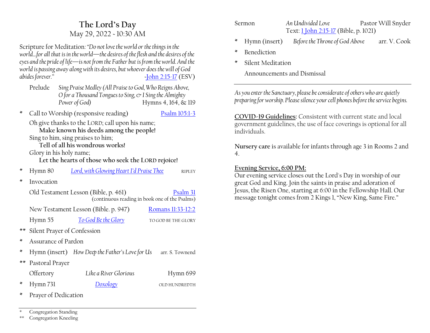# **The Lord·s Day** May 29, 2022 ~ 10:30 AM

Scripture for Meditation*:´Do not love the world or the things in the world...for all that is in the world—the desires of the flesh and the desires of the eyes and the pride of life*—is not from the Father but is from the world. And the *world is passing away along with its desires, but whoever does the will of God abides forever.µ ~*[John 2:15-17](https://www.esv.org/1+John+2+15/) (ESV)

- Prelude *Sing Praise Medley (All Praise to God, Who Reigns Above, O for a Thousand Tongues to Sing, & I Sing the Almighty Power of God*) Hymns 4, 164, & 119
- \* Call to Worship (responsive reading) [Psalm 105:1-3](https://www.esv.org/Psalm+105/)

Oh give thanks to the LORD; call upon his name; **Make known his deeds among the people!** Sing to him, sing praises to him;

**Tell of all his wondrous works!**

Glory in his holy name;

**Let the hearts of those who seek the LORD rejoice!**

- \* Hymn 80 *Lord, with Glowing Heart I'd Praise Thee* RIPLEY
- \* Invocation

| Old Testament Lesson (Bible, p. 461) | Psalm 31<br>(continuous reading in book one of the Psalms) |                     |
|--------------------------------------|------------------------------------------------------------|---------------------|
| New Testament Lesson (Bible. p. 947) |                                                            | Romans 11:33-12:2   |
| Hymn 55                              | To God Be the Glory                                        | TO GOD BE THE GLORY |

- \*\* Silent Prayer of Confession
- \* Assurance of Pardon
- \* Hymn (insert) *How Deep the Father's Love for Us* arr. S. Townend
- \*\* Pastoral Prayer

| Offertory    | Like a River Glorious | Hymn 699       |
|--------------|-----------------------|----------------|
| * Hymn $731$ | Doxology              | OI D HUNDREDTH |

\* Prayer of Dedication

Congregation Standing

\*\* Congregation Kneeling

| Sermon | An Undivided Love                     | Pastor Will Snyder |
|--------|---------------------------------------|--------------------|
|        | Text: 1 John 2:15-17 (Bible, p. 1021) |                    |

- \* Hymn (insert) *Before the Throne of God Above* arr. V. Cook
- **Benediction**
- Silent Meditation

Announcements and Dismissal

*As you enter the Sanctuary, please be considerate of others who are quietly preparing for worship. Please silence your cell phones before the service begins.*

**COVID-19 Guidelines:** Consistent with current state and local government guidelines, the use of face coverings is optional for all individuals.

**Nursery care** is available for infants through age 3 in Rooms 2 and 4.

#### **Evening Service, 6:00 PM:**

Our evening service closes out the Lord's Day in worship of our great God and King. Join the saints in praise and adoration of Jesus, the Risen One, starting at 6:00 in the Fellowship Hall. Our message tonight comes from 2 Kings 1, "New King, Same Fire."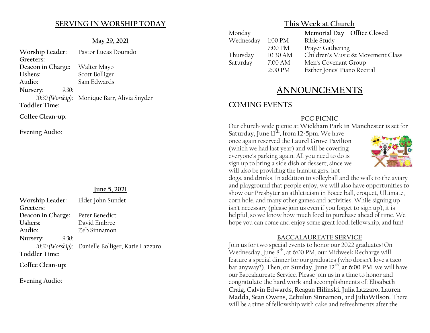### **SERVING IN WORSHIP TODAY**

#### **May 29, 2021**

| Worship Leader:      | Pastor Lucas Dourado                         |
|----------------------|----------------------------------------------|
| Greeters:            |                                              |
| Deacon in Charge:    | Walter Mayo                                  |
| Ushers:              | Scott Bolliger                               |
| Audio:               | Sam Edwards                                  |
| Nursery:<br>9:30:    |                                              |
|                      | 10:30 (Worship): Monique Barr, Alivia Snyder |
| <b>Toddler Time:</b> |                                              |
| Coffee Clean-up:     |                                              |

**Evening Audio:**

#### **June 5, 2021**

| Worship Leader:      | Elder John Sundet                                 |
|----------------------|---------------------------------------------------|
| Greeters:            |                                                   |
| Deacon in Charge:    | Peter Benedict                                    |
| Ushers:              | David Embree                                      |
| Audio:               | Zeb Sinnamon                                      |
| Nursery:<br>9:30:    |                                                   |
|                      | 10:30 (Worship): Danielle Bolliger, Katie Lazzaro |
| <b>Toddler Time:</b> |                                                   |
| $\sim$ cc $\sim$ 1   |                                                   |

**Coffee Clean-up:**

**Evening Audio:**

### **This Week at Church**

| Monday    |                   | Memorial Day - Office Closed      |
|-----------|-------------------|-----------------------------------|
| Wednesday | 1:00 PM           | <b>Bible Study</b>                |
|           | 7:00 PM           | Prayer Gathering                  |
| Thursday  | 10:30 AM          | Children's Music & Movement Class |
| Saturday  | 7:00 AM           | Men's Covenant Group              |
|           | $2:00 \text{ PM}$ | Esther Jones' Piano Recital       |
|           |                   |                                   |

# **ANNOUNCEMENTS**

## **COMING EVENTS**

### **PCC PICNIC**

Our church-wide picnic at **Wickham Park in Manchester** is set for

**Saturday, June 11th, from 12-5pm**. We have once again reserved the **Laurel Grove Pavilion** (which we had last year) and will be covering everyone's parking again. All you need to do is sign up to bring a side dish or dessert, since we will also be providing the hamburgers, hot



dogs, and drinks. In addition to volleyball and the walk to the aviary and playground that people enjoy, we will also have opportunities to show our Presbyterian athleticism in Bocce ball, croquet, Ultimate, corn hole, and many other games and activities. While signing up isn't necessary (please join us even if you forget to sign up), it is helpful, so we know how much food to purchase ahead of time. We hope you can come and enjoy some great food, fellowship, and fun!

#### **BACCALAUREATE SERVICE**

Join us for two special events to honor our 2022 graduates! On Wednesday, June 8<sup>th</sup>, at 6:00 PM, our Midweek Recharge will feature a special dinner for our graduates (who doesn't love a taco bar anyway?). Then, on **Sunday, June 12th , at 6:00 PM**, we will have our Baccalaureate Service. Please join us in a time to honor and congratulate the hard work and accomplishments of: **Elisabeth Craig, Calvin Edwards, Reagan Hilinski, Julia Lazzaro, Lauren Madda, Sean Owens, Zebulun Sinnamon,** and **JuliaWilson.** There will be a time of fellowship with cake and refreshments after the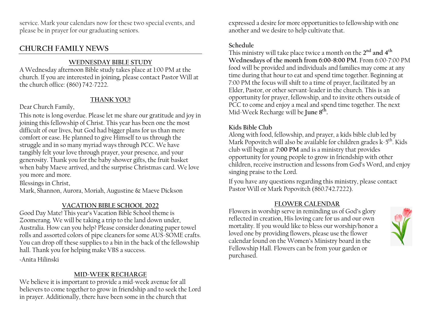service. Mark your calendars now for these two special events, and please be in prayer for our graduating seniors.

## **CHURCH FAMILY NEWS**

### **WEDNESDAY BIBLE STUDY**

A Wednesday afternoon Bible study takes place at 1:00 PM at the church. If you are interested in joining, please contact Pastor Will at the church office: (860) 742-7222.

## **THANK YOU!**

Dear Church Family,

This note is long overdue. Please let me share our gratitude and joy in joining this fellowship of Christ. This year has been one the most difficult of our lives, but God had bigger plans for us than mere comfort or ease. He planned to give Himself to us through the struggle and in so many myriad ways through PCC. We have tangibly felt your love through prayer, your presence, and your generosity. Thank you for the baby shower gifts, the fruit basket when baby Maeve arrived, and the surprise Christmas card. We love you more and more.

Blessings in Christ,

Mark, Shannon, Aurora, Moriah, Augustine & Maeve Dickson

#### **VACATION BIBLE SCHOOL 2022**

Good Day Mate! This year's Vacation Bible School theme is Zoomerang. We will be taking a trip to the land down under, Australia. How can you help? Please consider donating paper towel rolls and assorted colors of pipe cleaners for some AUS-SOME crafts. You can drop off these supplies to a bin in the back of the fellowship hall. Thank you for helping make VBS a success.

~Anita Hilinski

#### **MID-WEEK RECHARGE**

We believe it is important to provide a mid-week avenue for all believers to come together to grow in friendship and to seek the Lord in prayer. Additionally, there have been some in the church that

expressed a desire for more opportunities to fellowship with one another and we desire to help cultivate that.

#### **Schedule**

This ministry will take place twice a month on the **2nd and 4th Wednesdays of the month from 6:00-8:00 PM**. From 6:00-7:00 PM food will be provided and individuals and families may come at any time during that hour to eat and spend time together. Beginning at 7:00 PM the focus will shift to a time of prayer, facilitated by an Elder, Pastor, or other servant-leader in the church. This is an opportunity for prayer, fellowship, and to invite others outside of PCC to come and enjoy a meal and spend time together. The next Mid-Week Recharge will be **June 8th.**

## **Kids Bible Club**

Along with food, fellowship, and prayer, a kids bible club led by Mark Popovitch will also be available for children grades  $k-5^{th}$ . Kids club will begin at **7:00 PM** and is a ministry that provides opportunity for young people to grow in friendship with other children, receive instruction and lessons from God's Word, and enjoy singing praise to the Lord.

If you have any questions regarding this ministry, please contact Pastor Will or Mark Popovitch (860.742.7222).

## **FLOWER CALENDAR**

Flowers in worship serve in reminding us of God's glory reflected in creation, His loving care for us and our own mortality. If you would like to bless our worship/honor a loved one by providing flowers, please use the flower calendar found on the Women's Ministry board in the Fellowship Hall. Flowers can be from your garden or purchased.